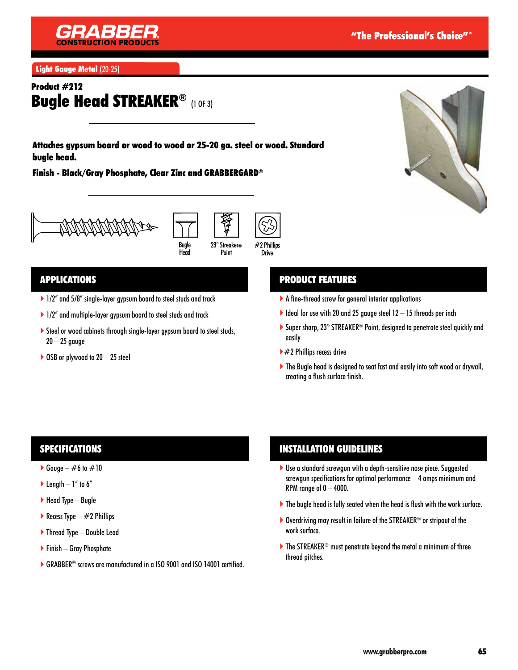

Light Gauge Metal (20-25)

### Product #212 Bugle Head STREAKER® (1 OF 3)

Attaches gypsum board or wood to wood or 25-20 ga. steel or wood. Standard bugle head.

Finish - Black/Gray Phosphate, Clear Zinc and GRABBERGARD®







#### APPLICATIONS

- ▶ 1/2" and 5/8" single-layer gypsum board to steel studs and track
- ▶ 1/2" and multiple-layer gypsum board to steel studs and track
- Steel or wood cabinets through single-layer gypsum board to steel studs,  $20 - 25$  gauge
- $\triangleright$  OSB or plywood to 20 25 steel

### PRODUCT FEATURES

- A fine-thread screw for general interior applications
- $\blacktriangleright$  Ideal for use with 20 and 25 gauge steel 12 15 threads per inch
- ▶ Super sharp, 23° STREAKER<sup>®</sup> Point, designed to penetrate steel quickly and easily
- $\blacktriangleright$  #2 Phillips recess drive
- ▶ The Bugle head is designed to seat fast and easily into soft wood or drywall, creating a flush surface finish.

#### SPECIFICATIONS

- Gauge  $\#6$  to  $\#10$
- $\blacktriangleright$  Length  $-1$ " to 6"
- $\blacktriangleright$  Head Type Bugle
- Recess Type  $-$  #2 Phillips
- ▶ Thread Type Double Lead
- Finish Gray Phosphate
- ▶ GRABBER<sup>®</sup> screws are manufactured in a ISO 9001 and ISO 14001 certified.

#### INSTALLATION GUIDELINES

- Use a standard screwgun with a depth-sensitive nose piece. Suggested screwgun specifications for optimal performance – 4 amps minimum and RPM range of  $0 - 4000$ .
- The bugle head is fully seated when the head is flush with the work surface.
- ▶ Overdriving may result in failure of the STREAKER<sup>®</sup> or stripout of the work surface.
- $\blacktriangleright$  The STREAKER<sup>®</sup> must penetrate beyond the metal a minimum of three thread pitches.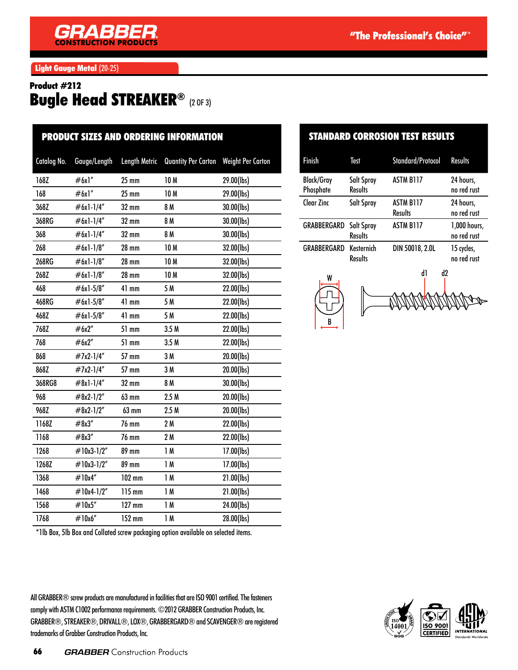Light Gauge Metal (20-25)

## Product #212 Bugle Head STREAKER® (2 OF 3)

| <b>PRODUCT SIZES AND ORDERING INFORMATION</b> |              |                      |                            |                          |
|-----------------------------------------------|--------------|----------------------|----------------------------|--------------------------|
| Catalog No.                                   | Gauge/Length | <b>Length Metric</b> | <b>Quantity Per Carton</b> | <b>Weight Per Carton</b> |
| 168Z                                          | #6x1"        | $25 \text{ mm}$      | <b>10M</b>                 | 29.00(lbs)               |
| 168                                           | #6x1"        | $25 \text{ mm}$      | <b>10M</b>                 | 29.00(lbs)               |
| 368Z                                          | #6x1-1/4"    | 32 mm                | 8 M                        | 30.00(lbs)               |
| 368RG                                         | #6x1-1/4"    | 32 mm                | 8 M                        | 30.00(lbs)               |
| 368                                           | #6x1-1/4"    | 32 mm                | 8 M                        | 30.00(lbs)               |
| 268                                           | #6x1-1/8"    | <b>28 mm</b>         | 10 M                       | 32.00(lbs)               |
| 268RG                                         | $#6x1-1/8"$  | $28$ mm              | 10 <sub>M</sub>            | 32.00(lbs)               |
| 268Z                                          | #6x1-1/8"    | <b>28 mm</b>         | 10 M                       | 32.00(lbs)               |
| 468                                           | #6x1-5/8"    | $41$ mm              | 5 M                        | 22.00(lbs)               |
| 468RG                                         | $#6x1-5/8"$  | $41$ mm              | 5 M                        | 22.00(lbs)               |
| 468Z                                          | $#6x1-5/8"$  | $41$ mm              | 5 M                        | 22.00(lbs)               |
| 768Z                                          | #6x2"        | 51 mm                | 3.5M                       | 22.00(lbs)               |
| 768                                           | #6x2"        | 51 mm                | 3.5M                       | 22.00(lbs)               |
| 868                                           | #7x2-1/4"    | 57 mm                | 3M                         | 20.00(lbs)               |
| 868Z                                          | #7x2-1/4"    | 57 mm                | 3M                         | 20.00(lbs)               |
| 368RG8                                        | $#8x1-1/4"$  | $32 \text{ mm}$      | 8 M                        | 30.00(lbs)               |
| 968                                           | $#8x2-1/2"$  | 63 mm                | 2.5M                       | 20.00(lbs)               |
| 968Z                                          | $\#8x2-1/2"$ | 63 mm                | 2.5M                       | 20.00(lbs)               |
| 1168Z                                         | #8x3"        | 76 mm                | 2M                         | 22.00(lbs)               |
| 1168                                          | #8x3''       | 76 mm                | 2M                         | 22.00(lbs)               |
| 1268                                          | #10x3-1/2"   | 89 mm                | 1M                         | 17.00(lbs)               |
| 1268Z                                         | #10x3-1/2"   | 89 mm                | 1M                         | 17.00(lbs)               |
| 1368                                          | #10x4"       | 102 mm               | 1M                         | 21.00(lbs)               |
| 1468                                          | #10x4-1/2"   | 115 mm               | 1M                         | 21.00(lbs)               |
| 1568                                          | #10x5"       | $127$ mm             | 1M                         | 24.00(lbs)               |
| 1768                                          | #10x6"       | 152 mm               | 1M                         | 28.00(lbs)               |
|                                               |              |                      |                            |                          |

#### STANDARD CORROSION TEST RESULTS

| Finish                         | Test                         | <b>Standard/Protocol</b>           | <b>Results</b>              |
|--------------------------------|------------------------------|------------------------------------|-----------------------------|
| <b>Black/Gray</b><br>Phosphate | Salt Spray<br><b>Results</b> | <b>ASTM B117</b>                   | 24 hours,<br>no red rust    |
| Clear Zinc                     | Salt Spray                   | <b>ASTM B117</b><br><b>Results</b> | 24 hours,<br>no red rust    |
| <b>GRABBERGARD</b> Salt Spray  | <b>Results</b>               | <b>ASTM B117</b>                   | 1,000 hours,<br>no red rust |
| GRABBERGARD                    | Kesternich<br><b>Results</b> | DIN 50018, 2.0L                    | 15 cycles,<br>no red rust   |







\*1lb Box, 5lb Box and Collated screw packaging option available on selected items.

All GRABBER® screw products are manufactured in facilities that are ISO 9001 certified. The fasteners comply with ASTM C1002 performance requirements. ©2012 GRABBER Construction Products, Inc. GRABBER®, STREAKER®, DRIVALL®, LOX®, GRABBERGARD® and SCAVENGER® are registered trademarks of Grabber Construction Products, Inc.